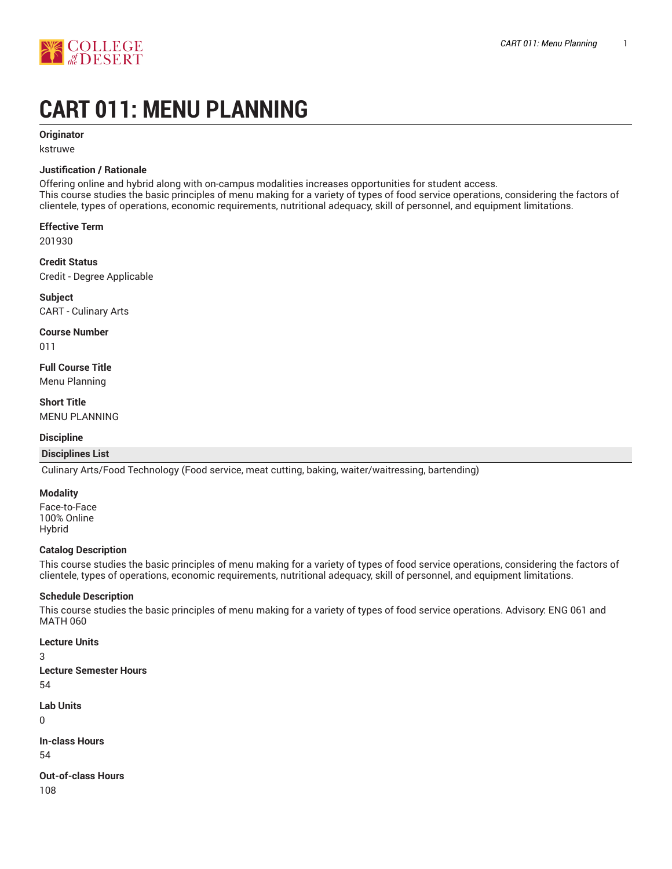

# **CART 011: MENU PLANNING**

# **Originator**

kstruwe

# **Justification / Rationale**

Offering online and hybrid along with on-campus modalities increases opportunities for student access. This course studies the basic principles of menu making for a variety of types of food service operations, considering the factors of clientele, types of operations, economic requirements, nutritional adequacy, skill of personnel, and equipment limitations.

**Effective Term**

201930

**Credit Status** Credit - Degree Applicable

**Subject** CART - Culinary Arts

**Course Number**

011

**Full Course Title** Menu Planning

**Short Title** MENU PLANNING

## **Discipline**

## **Disciplines List**

Culinary Arts/Food Technology (Food service, meat cutting, baking, waiter/waitressing, bartending)

## **Modality**

Face-to-Face 100% Online Hybrid

## **Catalog Description**

This course studies the basic principles of menu making for a variety of types of food service operations, considering the factors of clientele, types of operations, economic requirements, nutritional adequacy, skill of personnel, and equipment limitations.

## **Schedule Description**

This course studies the basic principles of menu making for a variety of types of food service operations. Advisory: ENG 061 and MATH 060

## **Lecture Units**

3 **Lecture Semester Hours** 54

**Lab Units**  $\Omega$ 

**In-class Hours** 54

**Out-of-class Hours** 108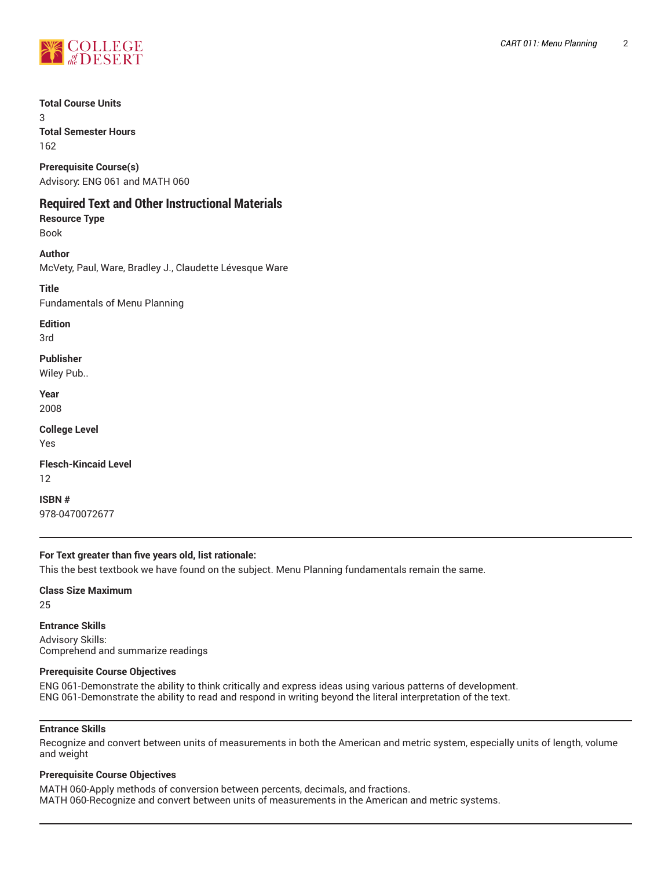

**Total Course Units**

3 **Total Semester Hours**

162

**Prerequisite Course(s)** Advisory: ENG 061 and MATH 060

# **Required Text and Other Instructional Materials**

**Resource Type** Book

**Author** McVety, Paul, Ware, Bradley J., Claudette Lévesque Ware

**Title** Fundamentals of Menu Planning

**Edition** 3rd

**Publisher** Wiley Pub..

**Year**

2008

**College Level** Yes

**Flesch-Kincaid Level** 12

**ISBN #** 978-0470072677

# **For Text greater than five years old, list rationale:**

This the best textbook we have found on the subject. Menu Planning fundamentals remain the same.

**Class Size Maximum** 25

**Entrance Skills** Advisory Skills: Comprehend and summarize readings

# **Prerequisite Course Objectives**

ENG 061-Demonstrate the ability to think critically and express ideas using various patterns of development. ENG 061-Demonstrate the ability to read and respond in writing beyond the literal interpretation of the text.

# **Entrance Skills**

Recognize and convert between units of measurements in both the American and metric system, especially units of length, volume and weight

# **Prerequisite Course Objectives**

MATH 060-Apply methods of conversion between percents, decimals, and fractions. MATH 060-Recognize and convert between units of measurements in the American and metric systems.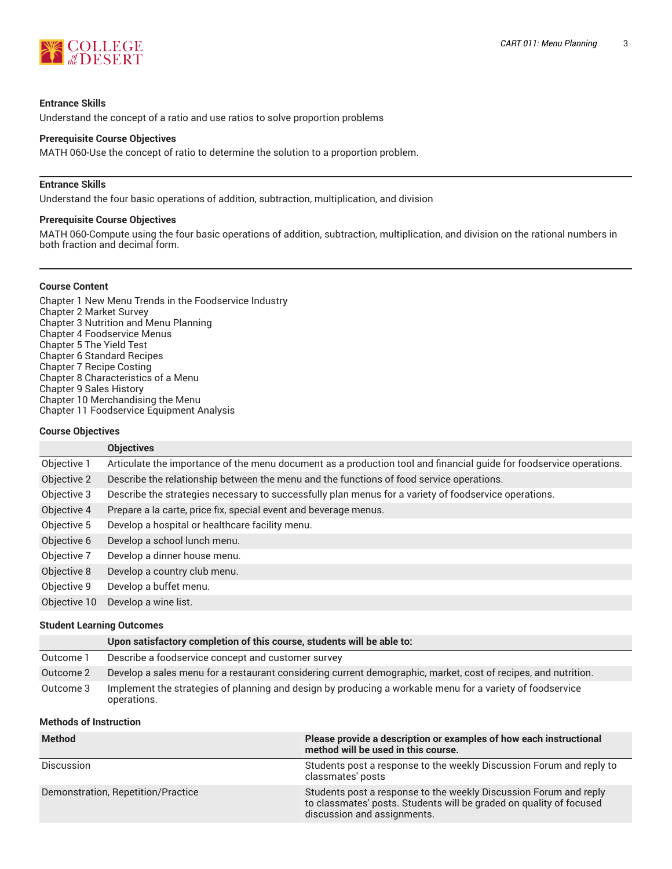

#### **Entrance Skills**

Understand the concept of a ratio and use ratios to solve proportion problems

#### **Prerequisite Course Objectives**

MATH 060-Use the concept of ratio to determine the solution to a proportion problem.

#### **Entrance Skills**

Understand the four basic operations of addition, subtraction, multiplication, and division

#### **Prerequisite Course Objectives**

MATH 060-Compute using the four basic operations of addition, subtraction, multiplication, and division on the rational numbers in both fraction and decimal form.

#### **Course Content**

Chapter 1 New Menu Trends in the Foodservice Industry Chapter 2 Market Survey Chapter 3 Nutrition and Menu Planning Chapter 4 Foodservice Menus Chapter 5 The Yield Test Chapter 6 Standard Recipes Chapter 7 Recipe Costing Chapter 8 Characteristics of a Menu Chapter 9 Sales History Chapter 10 Merchandising the Menu Chapter 11 Foodservice Equipment Analysis

#### **Course Objectives**

|              | <b>Objectives</b>                                                                                                   |
|--------------|---------------------------------------------------------------------------------------------------------------------|
| Objective 1  | Articulate the importance of the menu document as a production tool and financial guide for foodservice operations. |
| Objective 2  | Describe the relationship between the menu and the functions of food service operations.                            |
| Objective 3  | Describe the strategies necessary to successfully plan menus for a variety of foodservice operations.               |
| Objective 4  | Prepare a la carte, price fix, special event and beverage menus.                                                    |
| Objective 5  | Develop a hospital or healthcare facility menu.                                                                     |
| Objective 6  | Develop a school lunch menu.                                                                                        |
| Objective 7  | Develop a dinner house menu.                                                                                        |
| Objective 8  | Develop a country club menu.                                                                                        |
| Objective 9  | Develop a buffet menu.                                                                                              |
| Objective 10 | Develop a wine list.                                                                                                |

#### **Student Learning Outcomes**

|           | Upon satisfactory completion of this course, students will be able to:                                                   |
|-----------|--------------------------------------------------------------------------------------------------------------------------|
| Outcome 1 | Describe a foodservice concept and customer survey                                                                       |
| Outcome 2 | Develop a sales menu for a restaurant considering current demographic, market, cost of recipes, and nutrition.           |
| Outcome 3 | Implement the strategies of planning and design by producing a workable menu for a variety of foodservice<br>operations. |

# **Methods of Instruction**

| <b>Method</b>                      | Please provide a description or examples of how each instructional<br>method will be used in this course.                                                               |
|------------------------------------|-------------------------------------------------------------------------------------------------------------------------------------------------------------------------|
| Discussion                         | Students post a response to the weekly Discussion Forum and reply to<br>classmates' posts                                                                               |
| Demonstration, Repetition/Practice | Students post a response to the weekly Discussion Forum and reply<br>to classmates' posts. Students will be graded on quality of focused<br>discussion and assignments. |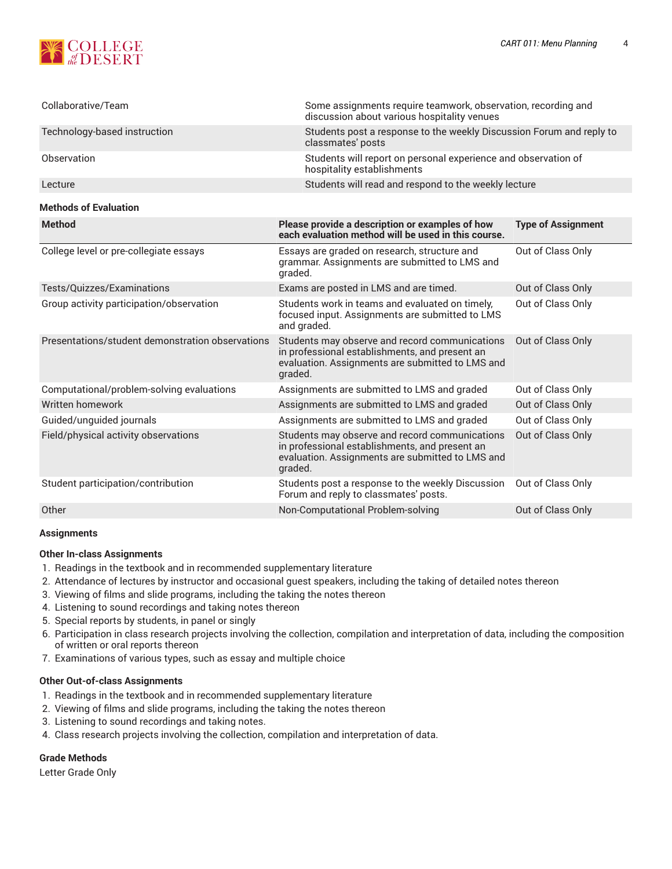

| Collaborative/Team                               | Some assignments require teamwork, observation, recording and<br>discussion about various hospitality venues                                                    |                           |  |
|--------------------------------------------------|-----------------------------------------------------------------------------------------------------------------------------------------------------------------|---------------------------|--|
| Technology-based instruction                     | Students post a response to the weekly Discussion Forum and reply to<br>classmates' posts                                                                       |                           |  |
| Observation                                      | Students will report on personal experience and observation of<br>hospitality establishments                                                                    |                           |  |
| Lecture                                          | Students will read and respond to the weekly lecture                                                                                                            |                           |  |
| <b>Methods of Evaluation</b>                     |                                                                                                                                                                 |                           |  |
| <b>Method</b>                                    | Please provide a description or examples of how<br>each evaluation method will be used in this course.                                                          | <b>Type of Assignment</b> |  |
| College level or pre-collegiate essays           | Essays are graded on research, structure and<br>grammar. Assignments are submitted to LMS and<br>graded.                                                        | Out of Class Only         |  |
| Tests/Quizzes/Examinations                       | Exams are posted in LMS and are timed.                                                                                                                          | Out of Class Only         |  |
| Group activity participation/observation         | Students work in teams and evaluated on timely,<br>focused input. Assignments are submitted to LMS<br>and graded.                                               | Out of Class Only         |  |
| Presentations/student demonstration observations | Students may observe and record communications<br>in professional establishments, and present an<br>evaluation. Assignments are submitted to LMS and<br>graded. | Out of Class Only         |  |
| Computational/problem-solving evaluations        | Assignments are submitted to LMS and graded                                                                                                                     | Out of Class Only         |  |
| Written homework                                 | Assignments are submitted to LMS and graded                                                                                                                     | Out of Class Only         |  |
| Guided/unguided journals                         | Assignments are submitted to LMS and graded                                                                                                                     | Out of Class Only         |  |
| Field/physical activity observations             | Students may observe and record communications<br>in professional establishments, and present an<br>evaluation. Assignments are submitted to LMS and<br>graded. | Out of Class Only         |  |
| Student participation/contribution               | Students post a response to the weekly Discussion<br>Forum and reply to classmates' posts.                                                                      | Out of Class Only         |  |
| Other                                            | Non-Computational Problem-solving                                                                                                                               | Out of Class Only         |  |

## **Assignments**

# **Other In-class Assignments**

- 1. Readings in the textbook and in recommended supplementary literature
- 2. Attendance of lectures by instructor and occasional guest speakers, including the taking of detailed notes thereon
- 3. Viewing of films and slide programs, including the taking the notes thereon
- 4. Listening to sound recordings and taking notes thereon
- 5. Special reports by students, in panel or singly
- 6. Participation in class research projects involving the collection, compilation and interpretation of data, including the composition of written or oral reports thereon
- 7. Examinations of various types, such as essay and multiple choice

## **Other Out-of-class Assignments**

- 1. Readings in the textbook and in recommended supplementary literature
- 2. Viewing of films and slide programs, including the taking the notes thereon
- 3. Listening to sound recordings and taking notes.
- 4. Class research projects involving the collection, compilation and interpretation of data.

## **Grade Methods**

Letter Grade Only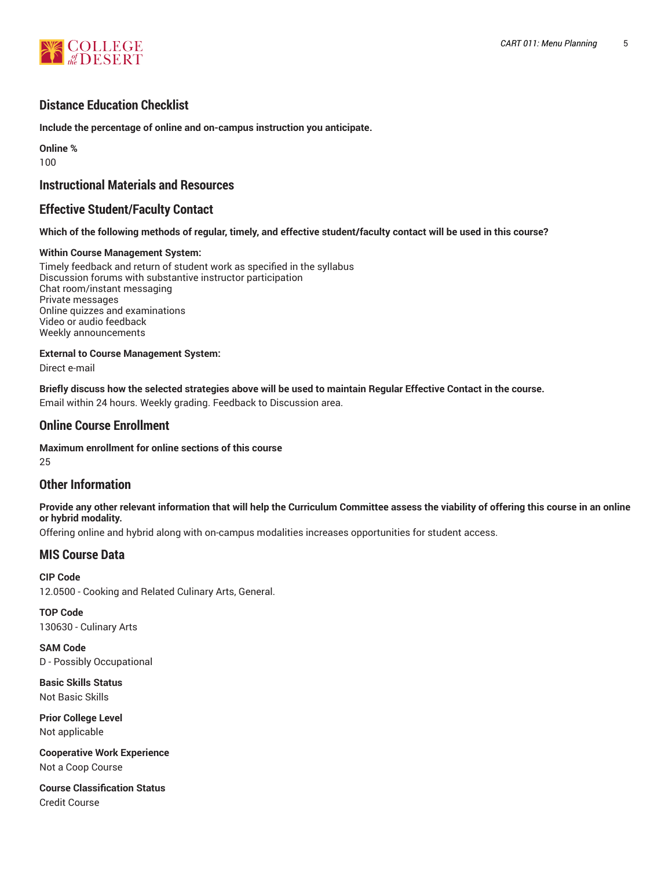

# **Distance Education Checklist**

**Include the percentage of online and on-campus instruction you anticipate.**

**Online %** 100

# **Instructional Materials and Resources**

# **Effective Student/Faculty Contact**

# Which of the following methods of regular, timely, and effective student/faculty contact will be used in this course?

# **Within Course Management System:**

Timely feedback and return of student work as specified in the syllabus Discussion forums with substantive instructor participation Chat room/instant messaging Private messages Online quizzes and examinations Video or audio feedback Weekly announcements

**External to Course Management System:**

Direct e-mail

Briefly discuss how the selected strategies above will be used to maintain Regular Effective Contact in the course. Email within 24 hours. Weekly grading. Feedback to Discussion area.

# **Online Course Enrollment**

**Maximum enrollment for online sections of this course** 25

# **Other Information**

Provide any other relevant information that will help the Curriculum Committee assess the viability of offering this course in an online **or hybrid modality.**

Offering online and hybrid along with on-campus modalities increases opportunities for student access.

# **MIS Course Data**

**CIP Code** 12.0500 - Cooking and Related Culinary Arts, General.

**TOP Code** 130630 - Culinary Arts

**SAM Code** D - Possibly Occupational

**Basic Skills Status** Not Basic Skills

**Prior College Level** Not applicable

**Cooperative Work Experience** Not a Coop Course

**Course Classification Status** Credit Course